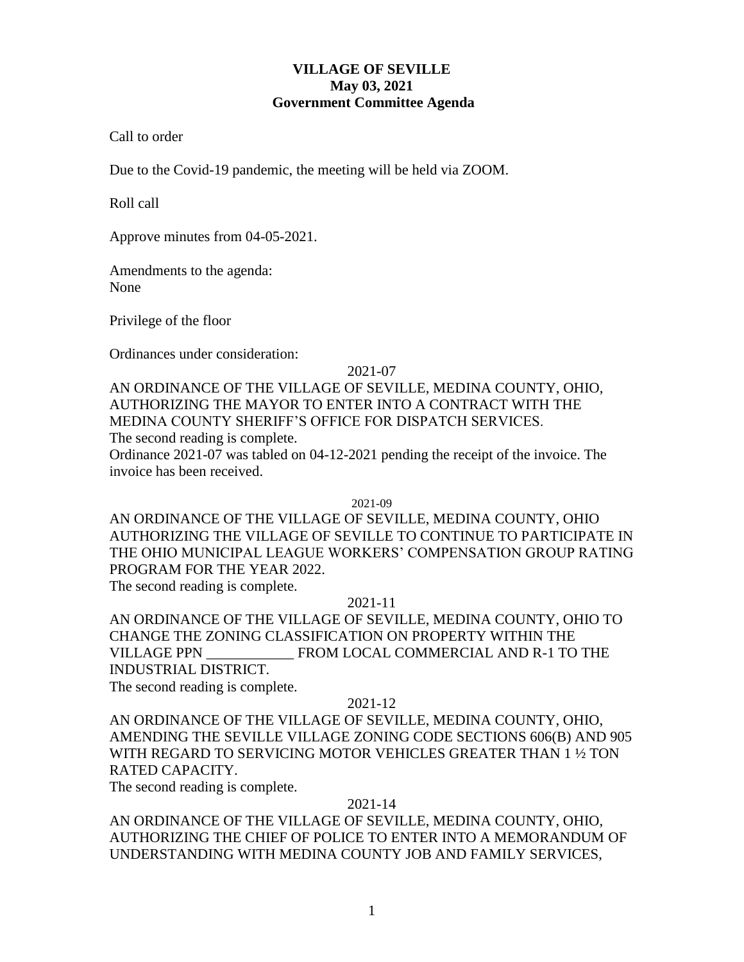## **VILLAGE OF SEVILLE May 03, 2021 Government Committee Agenda**

Call to order

Due to the Covid-19 pandemic, the meeting will be held via ZOOM.

Roll call

Approve minutes from 04-05-2021.

Amendments to the agenda: None

Privilege of the floor

Ordinances under consideration:

2021-07

AN ORDINANCE OF THE VILLAGE OF SEVILLE, MEDINA COUNTY, OHIO, AUTHORIZING THE MAYOR TO ENTER INTO A CONTRACT WITH THE MEDINA COUNTY SHERIFF'S OFFICE FOR DISPATCH SERVICES. The second reading is complete. Ordinance 2021-07 was tabled on 04-12-2021 pending the receipt of the invoice. The invoice has been received.

2021-09

AN ORDINANCE OF THE VILLAGE OF SEVILLE, MEDINA COUNTY, OHIO AUTHORIZING THE VILLAGE OF SEVILLE TO CONTINUE TO PARTICIPATE IN THE OHIO MUNICIPAL LEAGUE WORKERS' COMPENSATION GROUP RATING PROGRAM FOR THE YEAR 2022.

The second reading is complete.

# 2021-11

AN ORDINANCE OF THE VILLAGE OF SEVILLE, MEDINA COUNTY, OHIO TO CHANGE THE ZONING CLASSIFICATION ON PROPERTY WITHIN THE VILLAGE PPN \_\_\_\_\_\_\_\_\_\_\_\_ FROM LOCAL COMMERCIAL AND R-1 TO THE INDUSTRIAL DISTRICT.

The second reading is complete.

# 2021-12

AN ORDINANCE OF THE VILLAGE OF SEVILLE, MEDINA COUNTY, OHIO, AMENDING THE SEVILLE VILLAGE ZONING CODE SECTIONS 606(B) AND 905 WITH REGARD TO SERVICING MOTOR VEHICLES GREATER THAN 1 ½ TON RATED CAPACITY.

The second reading is complete.

## 2021-14

AN ORDINANCE OF THE VILLAGE OF SEVILLE, MEDINA COUNTY, OHIO, AUTHORIZING THE CHIEF OF POLICE TO ENTER INTO A MEMORANDUM OF UNDERSTANDING WITH MEDINA COUNTY JOB AND FAMILY SERVICES,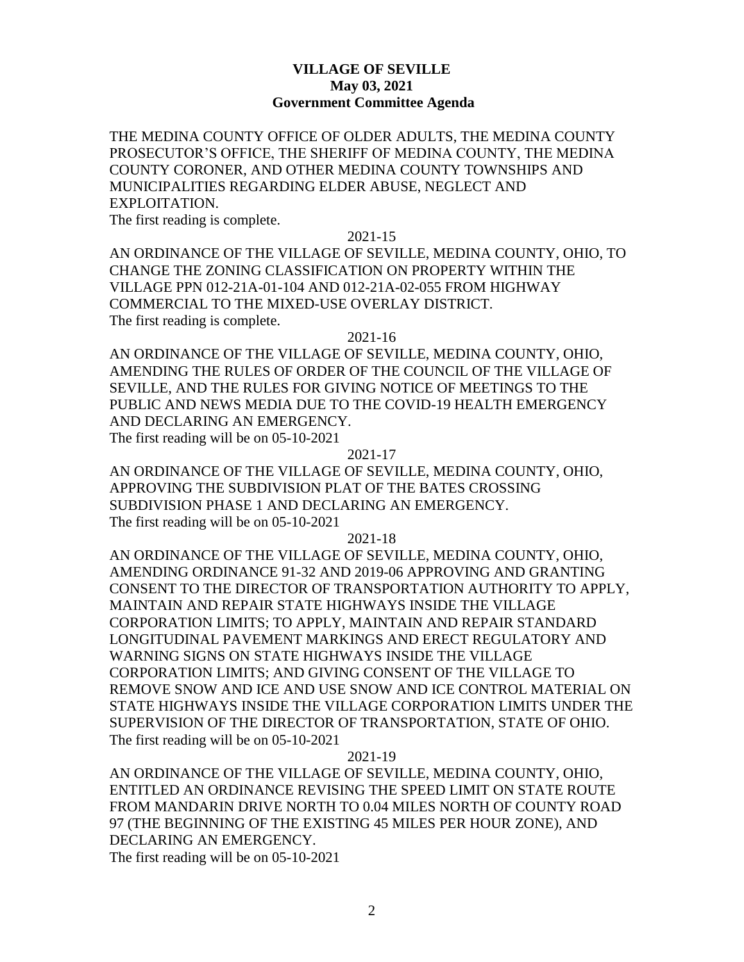## **VILLAGE OF SEVILLE May 03, 2021 Government Committee Agenda**

THE MEDINA COUNTY OFFICE OF OLDER ADULTS, THE MEDINA COUNTY PROSECUTOR'S OFFICE, THE SHERIFF OF MEDINA COUNTY, THE MEDINA COUNTY CORONER, AND OTHER MEDINA COUNTY TOWNSHIPS AND MUNICIPALITIES REGARDING ELDER ABUSE, NEGLECT AND EXPLOITATION.

The first reading is complete.

### 2021-15

AN ORDINANCE OF THE VILLAGE OF SEVILLE, MEDINA COUNTY, OHIO, TO CHANGE THE ZONING CLASSIFICATION ON PROPERTY WITHIN THE VILLAGE PPN 012-21A-01-104 AND 012-21A-02-055 FROM HIGHWAY COMMERCIAL TO THE MIXED-USE OVERLAY DISTRICT. The first reading is complete.

#### 2021-16

AN ORDINANCE OF THE VILLAGE OF SEVILLE, MEDINA COUNTY, OHIO, AMENDING THE RULES OF ORDER OF THE COUNCIL OF THE VILLAGE OF SEVILLE, AND THE RULES FOR GIVING NOTICE OF MEETINGS TO THE PUBLIC AND NEWS MEDIA DUE TO THE COVID-19 HEALTH EMERGENCY AND DECLARING AN EMERGENCY. The first reading will be on 05-10-2021

#### 2021-17

AN ORDINANCE OF THE VILLAGE OF SEVILLE, MEDINA COUNTY, OHIO, APPROVING THE SUBDIVISION PLAT OF THE BATES CROSSING SUBDIVISION PHASE 1 AND DECLARING AN EMERGENCY. The first reading will be on 05-10-2021

2021-18

AN ORDINANCE OF THE VILLAGE OF SEVILLE, MEDINA COUNTY, OHIO, AMENDING ORDINANCE 91-32 AND 2019-06 APPROVING AND GRANTING CONSENT TO THE DIRECTOR OF TRANSPORTATION AUTHORITY TO APPLY, MAINTAIN AND REPAIR STATE HIGHWAYS INSIDE THE VILLAGE CORPORATION LIMITS; TO APPLY, MAINTAIN AND REPAIR STANDARD LONGITUDINAL PAVEMENT MARKINGS AND ERECT REGULATORY AND WARNING SIGNS ON STATE HIGHWAYS INSIDE THE VILLAGE CORPORATION LIMITS; AND GIVING CONSENT OF THE VILLAGE TO REMOVE SNOW AND ICE AND USE SNOW AND ICE CONTROL MATERIAL ON STATE HIGHWAYS INSIDE THE VILLAGE CORPORATION LIMITS UNDER THE SUPERVISION OF THE DIRECTOR OF TRANSPORTATION, STATE OF OHIO. The first reading will be on 05-10-2021

### 2021-19

AN ORDINANCE OF THE VILLAGE OF SEVILLE, MEDINA COUNTY, OHIO, ENTITLED AN ORDINANCE REVISING THE SPEED LIMIT ON STATE ROUTE FROM MANDARIN DRIVE NORTH TO 0.04 MILES NORTH OF COUNTY ROAD 97 (THE BEGINNING OF THE EXISTING 45 MILES PER HOUR ZONE), AND DECLARING AN EMERGENCY. The first reading will be on 05-10-2021